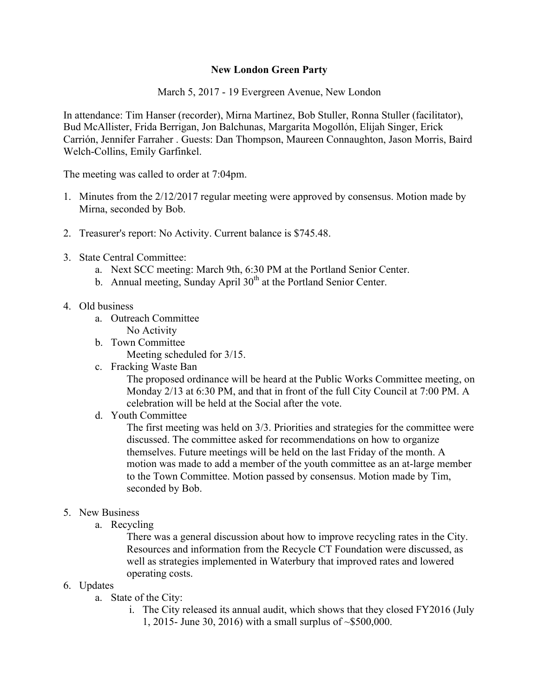## **New London Green Party**

March 5, 2017 - 19 Evergreen Avenue, New London

In attendance: Tim Hanser (recorder), Mirna Martinez, Bob Stuller, Ronna Stuller (facilitator), Bud McAllister, Frida Berrigan, Jon Balchunas, Margarita Mogollón, Elijah Singer, Erick Carrión, Jennifer Farraher . Guests: Dan Thompson, Maureen Connaughton, Jason Morris, Baird Welch-Collins, Emily Garfinkel.

The meeting was called to order at 7:04pm.

- 1. Minutes from the 2/12/2017 regular meeting were approved by consensus. Motion made by Mirna, seconded by Bob.
- 2. Treasurer's report: No Activity. Current balance is \$745.48.
- 3. State Central Committee:
	- a. Next SCC meeting: March 9th, 6:30 PM at the Portland Senior Center.
	- b. Annual meeting, Sunday April  $30<sup>th</sup>$  at the Portland Senior Center.
- 4. Old business
	- a. Outreach Committee
	- No Activity
	- b. Town Committee

Meeting scheduled for 3/15.

c. Fracking Waste Ban

The proposed ordinance will be heard at the Public Works Committee meeting, on Monday 2/13 at 6:30 PM, and that in front of the full City Council at 7:00 PM. A celebration will be held at the Social after the vote.

d. Youth Committee

The first meeting was held on 3/3. Priorities and strategies for the committee were discussed. The committee asked for recommendations on how to organize themselves. Future meetings will be held on the last Friday of the month. A motion was made to add a member of the youth committee as an at-large member to the Town Committee. Motion passed by consensus. Motion made by Tim, seconded by Bob.

## 5. New Business

a. Recycling

There was a general discussion about how to improve recycling rates in the City. Resources and information from the Recycle CT Foundation were discussed, as well as strategies implemented in Waterbury that improved rates and lowered operating costs.

- 6. Updates
	- a. State of the City:
		- i. The City released its annual audit, which shows that they closed FY2016 (July 1, 2015- June 30, 2016) with a small surplus of ~\$500,000.